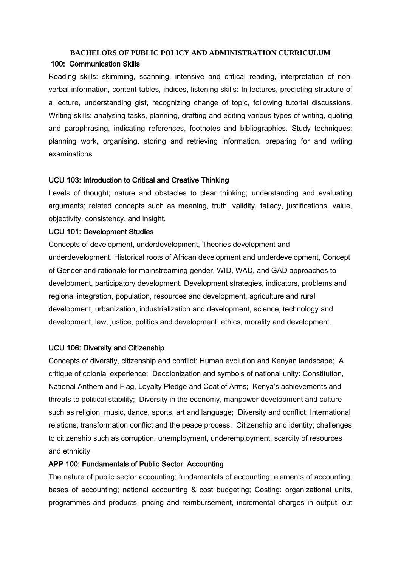# **BACHELORS OF PUBLIC POLICY AND ADMINISTRATION CURRICULUM**

#### 100: Communication Skills

Reading skills: skimming, scanning, intensive and critical reading, interpretation of nonverbal information, content tables, indices, listening skills: In lectures, predicting structure of a lecture, understanding gist, recognizing change of topic, following tutorial discussions. Writing skills: analysing tasks, planning, drafting and editing various types of writing, quoting and paraphrasing, indicating references, footnotes and bibliographies. Study techniques: planning work, organising, storing and retrieving information, preparing for and writing examinations.

## UCU 103: Introduction to Critical and Creative Thinking

Levels of thought; nature and obstacles to clear thinking; understanding and evaluating arguments; related concepts such as meaning, truth, validity, fallacy, justifications, value, objectivity, consistency, and insight.

## UCU 101: Development Studies

Concepts of development, underdevelopment, Theories development and underdevelopment. Historical roots of African development and underdevelopment, Concept of Gender and rationale for mainstreaming gender, WID, WAD, and GAD approaches to development, participatory development. Development strategies, indicators, problems and regional integration, population, resources and development, agriculture and rural development, urbanization, industrialization and development, science, technology and development, law, justice, politics and development, ethics, morality and development.

## UCU 106: Diversity and Citizenship

Concepts of diversity, citizenship and conflict; Human evolution and Kenyan landscape; A critique of colonial experience; Decolonization and symbols of national unity: Constitution, National Anthem and Flag, Loyalty Pledge and Coat of Arms; Kenya's achievements and threats to political stability; Diversity in the economy, manpower development and culture such as religion, music, dance, sports, art and language; Diversity and conflict; International relations, transformation conflict and the peace process; Citizenship and identity; challenges to citizenship such as corruption, unemployment, underemployment, scarcity of resources and ethnicity.

# APP 100: Fundamentals of Public Sector Accounting

The nature of public sector accounting; fundamentals of accounting; elements of accounting; bases of accounting; national accounting & cost budgeting; Costing: organizational units, programmes and products, pricing and reimbursement, incremental charges in output, out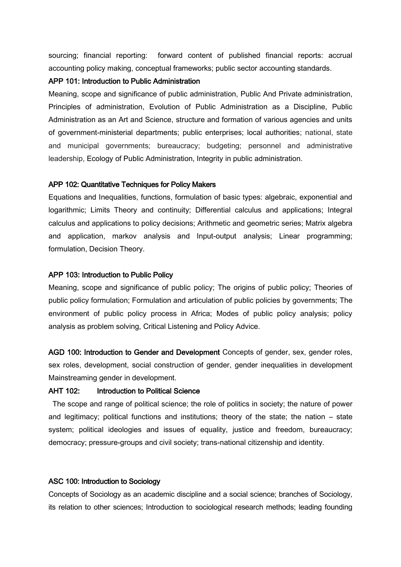sourcing; financial reporting: forward content of published financial reports: accrual accounting policy making, conceptual frameworks; public sector accounting standards.

#### APP 101: Introduction to Public Administration

Meaning, scope and significance of public administration, Public And Private administration, Principles of administration, Evolution of Public Administration as a Discipline, Public Administration as an Art and Science, structure and formation of various agencies and units of government-ministerial departments; public enterprises; local authorities; national, state and municipal governments; bureaucracy; budgeting; personnel and administrative leadership, Ecology of Public Administration, Integrity in public administration.

## APP 102: Quantitative Techniques for Policy Makers

Equations and Inequalities, functions, formulation of basic types: algebraic, exponential and logarithmic; Limits Theory and continuity; Differential calculus and applications; Integral calculus and applications to policy decisions; Arithmetic and geometric series; Matrix algebra and application, markov analysis and Input-output analysis; Linear programming; formulation, Decision Theory.

#### APP 103: Introduction to Public Policy

Meaning, scope and significance of public policy; The origins of public policy; Theories of public policy formulation; Formulation and articulation of public policies by governments; The environment of public policy process in Africa; Modes of public policy analysis; policy analysis as problem solving, Critical Listening and Policy Advice.

AGD 100: Introduction to Gender and Development Concepts of gender, sex, gender roles, sex roles, development, social construction of gender, gender inequalities in development Mainstreaming gender in development.

## AHT 102: Introduction to Political Science

 The scope and range of political science; the role of politics in society; the nature of power and legitimacy; political functions and institutions; theory of the state; the nation – state system; political ideologies and issues of equality, justice and freedom, bureaucracy; democracy; pressure-groups and civil society; trans-national citizenship and identity.

## ASC 100: Introduction to Sociology

Concepts of Sociology as an academic discipline and a social science; branches of Sociology, its relation to other sciences; Introduction to sociological research methods; leading founding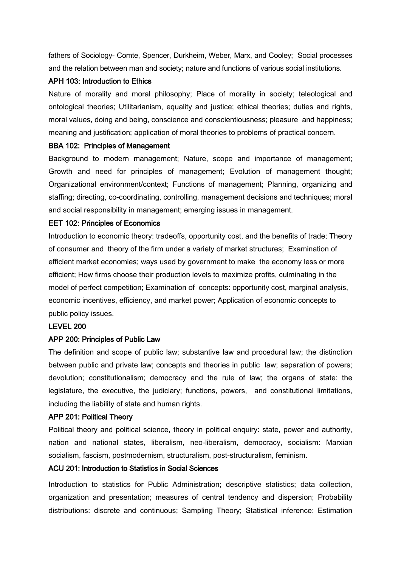fathers of Sociology- Comte, Spencer, Durkheim, Weber, Marx, and Cooley; Social processes and the relation between man and society; nature and functions of various social institutions.

## APH 103: Introduction to Ethics

Nature of morality and moral philosophy; Place of morality in society; teleological and ontological theories; Utilitarianism, equality and justice; ethical theories; duties and rights, moral values, doing and being, conscience and conscientiousness; pleasure and happiness; meaning and justification; application of moral theories to problems of practical concern.

## BBA 102: Principles of Management

Background to modern management; Nature, scope and importance of management; Growth and need for principles of management; Evolution of management thought; Organizational environment/context; Functions of management; Planning, organizing and staffing; directing, co-coordinating, controlling, management decisions and techniques; moral and social responsibility in management; emerging issues in management.

## EET 102: Principles of Economics

Introduction to economic theory: tradeoffs, opportunity cost, and the benefits of trade; Theory of consumer and theory of the firm under a variety of market structures; Examination of efficient market economies; ways used by government to make the economy less or more efficient; How firms choose their production levels to maximize profits, culminating in the model of perfect competition; Examination of concepts: opportunity cost, marginal analysis, economic incentives, efficiency, and market power; Application of economic concepts to public policy issues.

## LEVEL 200

## APP 200: Principles of Public Law

The definition and scope of public law; substantive law and procedural law; the distinction between public and private law; concepts and theories in public law; separation of powers; devolution; constitutionalism; democracy and the rule of law; the organs of state: the legislature, the executive, the judiciary; functions, powers, and constitutional limitations, including the liability of state and human rights.

## APP 201: Political Theory

Political theory and political science, theory in political enquiry: state, power and authority, nation and national states, liberalism, neo-liberalism, democracy, socialism: Marxian socialism, fascism, postmodernism, structuralism, post-structuralism, feminism.

#### ACU 201: Introduction to Statistics in Social Sciences

Introduction to statistics for Public Administration; descriptive statistics; data collection, organization and presentation; measures of central tendency and dispersion; Probability distributions: discrete and continuous; Sampling Theory; Statistical inference: Estimation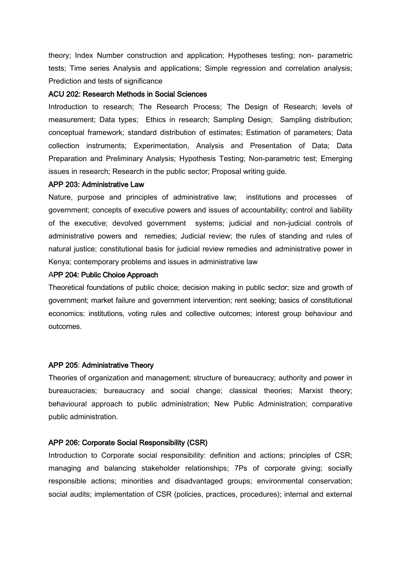theory; Index Number construction and application; Hypotheses testing; non- parametric tests; Time series Analysis and applications; Simple regression and correlation analysis; Prediction and tests of significance

#### ACU 202: Research Methods in Social Sciences

Introduction to research; The Research Process; The Design of Research; levels of measurement; Data types; Ethics in research; Sampling Design; Sampling distribution; conceptual framework; standard distribution of estimates; Estimation of parameters; Data collection instruments; Experimentation, Analysis and Presentation of Data; Data Preparation and Preliminary Analysis; Hypothesis Testing; Non-parametric test; Emerging issues in research; Research in the public sector; Proposal writing guide.

#### APP 203: Administrative Law

Nature, purpose and principles of administrative law; institutions and processes of government; concepts of executive powers and issues of accountability; control and liability of the executive; devolved government systems; judicial and non-judicial controls of administrative powers and remedies; Judicial review; the rules of standing and rules of natural justice; constitutional basis for judicial review remedies and administrative power in Kenya; contemporary problems and issues in administrative law

#### APP 204: Public Choice Approach

Theoretical foundations of public choice; decision making in public sector; size and growth of government; market failure and government intervention; rent seeking; basics of constitutional economics: institutions, voting rules and collective outcomes; interest group behaviour and outcomes.

#### APP 205: Administrative Theory

Theories of organization and management; structure of bureaucracy; authority and power in bureaucracies; bureaucracy and social change; classical theories; Marxist theory; behavioural approach to public administration; New Public Administration; comparative public administration.

#### APP 206: Corporate Social Responsibility (CSR)

Introduction to Corporate social responsibility: definition and actions; principles of CSR; managing and balancing stakeholder relationships; 7Ps of corporate giving; socially responsible actions; minorities and disadvantaged groups; environmental conservation; social audits; implementation of CSR (policies, practices, procedures); internal and external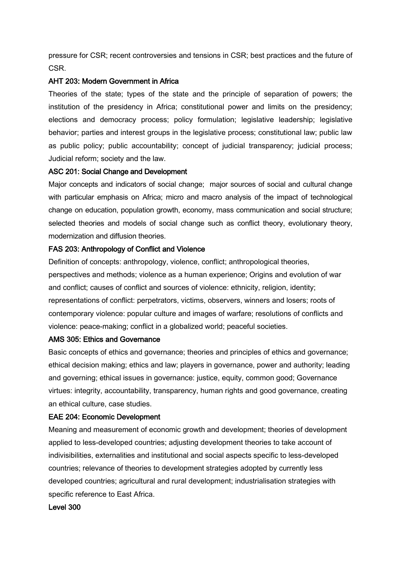pressure for CSR; recent controversies and tensions in CSR; best practices and the future of CSR.

# AHT 203: Modern Government in Africa

Theories of the state; types of the state and the principle of separation of powers; the institution of the presidency in Africa; constitutional power and limits on the presidency; elections and democracy process; policy formulation; legislative leadership; legislative behavior; parties and interest groups in the legislative process; constitutional law; public law as public policy; public accountability; concept of judicial transparency; judicial process; Judicial reform; society and the law.

## ASC 201: Social Change and Development

Major concepts and indicators of social change; major sources of social and cultural change with particular emphasis on Africa; micro and macro analysis of the impact of technological change on education, population growth, economy, mass communication and social structure; selected theories and models of social change such as conflict theory, evolutionary theory, modernization and diffusion theories.

# FAS 203: Anthropology of Conflict and Violence

Definition of concepts: anthropology, violence, conflict; anthropological theories, perspectives and methods; violence as a human experience; Origins and evolution of war and conflict; causes of conflict and sources of violence: ethnicity, religion, identity; representations of conflict: perpetrators, victims, observers, winners and losers; roots of contemporary violence: popular culture and images of warfare; resolutions of conflicts and violence: peace-making; conflict in a globalized world; peaceful societies.

## AMS 305: Ethics and Governance

Basic concepts of ethics and governance; theories and principles of ethics and governance; ethical decision making; ethics and law; players in governance, power and authority; leading and governing; ethical issues in governance: justice, equity, common good; Governance virtues: integrity, accountability, transparency, human rights and good governance, creating an ethical culture, case studies.

## EAE 204: Economic Development

Meaning and measurement of economic growth and development; theories of development applied to less-developed countries; adjusting development theories to take account of indivisibilities, externalities and institutional and social aspects specific to less-developed countries; relevance of theories to development strategies adopted by currently less developed countries; agricultural and rural development; industrialisation strategies with specific reference to East Africa.

# Level 300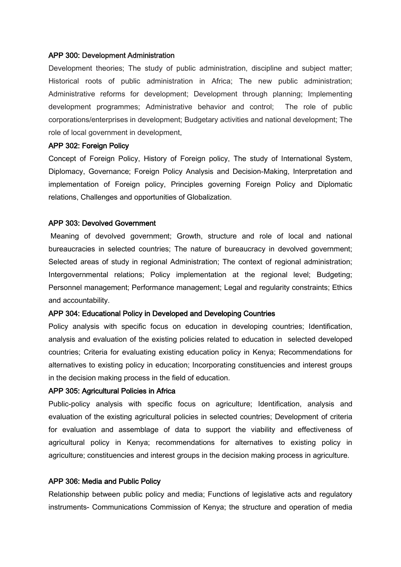#### APP 300: Development Administration

Development theories; The study of public administration, discipline and subject matter; Historical roots of public administration in Africa; The new public administration; Administrative reforms for development; Development through planning; Implementing development programmes; Administrative behavior and control; The role of public corporations/enterprises in development; Budgetary activities and national development; The role of local government in development.

#### APP 302: Foreign Policy

Concept of Foreign Policy, History of Foreign policy, The study of International System, Diplomacy, Governance; Foreign Policy Analysis and Decision-Making, Interpretation and implementation of Foreign policy, Principles governing Foreign Policy and Diplomatic relations, Challenges and opportunities of Globalization.

#### APP 303: Devolved Government

Meaning of devolved government; Growth, structure and role of local and national bureaucracies in selected countries; The nature of bureaucracy in devolved government; Selected areas of study in regional Administration; The context of regional administration; Intergovernmental relations; Policy implementation at the regional level; Budgeting; Personnel management; Performance management; Legal and regularity constraints; Ethics and accountability.

#### APP 304: Educational Policy in Developed and Developing Countries

Policy analysis with specific focus on education in developing countries; Identification, analysis and evaluation of the existing policies related to education in selected developed countries; Criteria for evaluating existing education policy in Kenya; Recommendations for alternatives to existing policy in education; Incorporating constituencies and interest groups in the decision making process in the field of education.

#### APP 305: Agricultural Policies in Africa

Public-policy analysis with specific focus on agriculture; Identification, analysis and evaluation of the existing agricultural policies in selected countries; Development of criteria for evaluation and assemblage of data to support the viability and effectiveness of agricultural policy in Kenya; recommendations for alternatives to existing policy in agriculture; constituencies and interest groups in the decision making process in agriculture.

#### APP 306: Media and Public Policy

Relationship between public policy and media; Functions of legislative acts and regulatory instruments- Communications Commission of Kenya; the structure and operation of media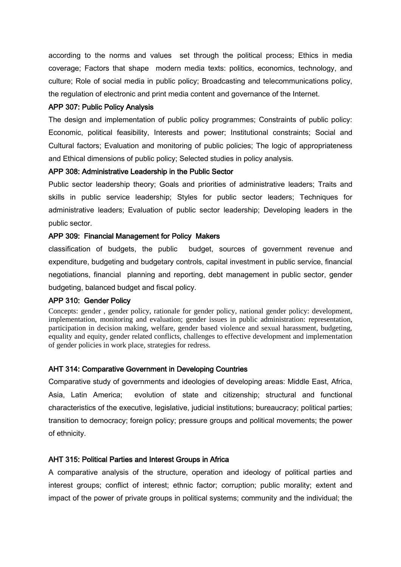according to the norms and values set through the political process; Ethics in media coverage; Factors that shape modern media texts: politics, economics, technology, and culture; Role of social media in public policy; Broadcasting and telecommunications policy, the regulation of electronic and print media content and governance of the Internet.

## APP 307: Public Policy Analysis

The design and implementation of public policy programmes; Constraints of public policy: Economic, political feasibility, Interests and power; Institutional constraints; Social and Cultural factors; Evaluation and monitoring of public policies; The logic of appropriateness and Ethical dimensions of public policy; Selected studies in policy analysis.

## APP 308: Administrative Leadership in the Public Sector

Public sector leadership theory; Goals and priorities of administrative leaders; Traits and skills in public service leadership; Styles for public sector leaders; Techniques for administrative leaders; Evaluation of public sector leadership; Developing leaders in the public sector.

## APP 309: Financial Management for Policy Makers

classification of budgets, the public budget, sources of government revenue and expenditure, budgeting and budgetary controls, capital investment in public service, financial negotiations, financial planning and reporting, debt management in public sector, gender budgeting, balanced budget and fiscal policy.

## APP 310: Gender Policy

Concepts: gender , gender policy, rationale for gender policy, national gender policy: development, implementation, monitoring and evaluation; gender issues in public administration: representation, participation in decision making, welfare, gender based violence and sexual harassment, budgeting, equality and equity, gender related conflicts, challenges to effective development and implementation of gender policies in work place, strategies for redress.

# AHT 314: Comparative Government in Developing Countries

Comparative study of governments and ideologies of developing areas: Middle East, Africa, Asia, Latin America; evolution of state and citizenship; structural and functional characteristics of the executive, legislative, judicial institutions; bureaucracy; political parties; transition to democracy; foreign policy; pressure groups and political movements; the power of ethnicity.

# AHT 315: Political Parties and Interest Groups in Africa

A comparative analysis of the structure, operation and ideology of political parties and interest groups; conflict of interest; ethnic factor; corruption; public morality; extent and impact of the power of private groups in political systems; community and the individual; the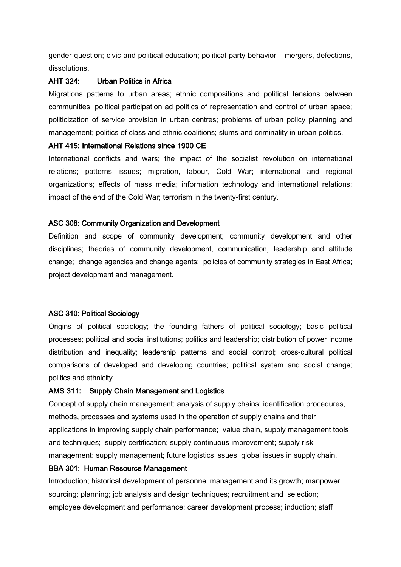gender question; civic and political education; political party behavior – mergers, defections, dissolutions.

# AHT 324: Urban Politics in Africa

Migrations patterns to urban areas; ethnic compositions and political tensions between communities; political participation ad politics of representation and control of urban space; politicization of service provision in urban centres; problems of urban policy planning and management; politics of class and ethnic coalitions; slums and criminality in urban politics.

# AHT 415: International Relations since 1900 CE

International conflicts and wars; the impact of the socialist revolution on international relations; patterns issues; migration, labour, Cold War; international and regional organizations; effects of mass media; information technology and international relations; impact of the end of the Cold War; terrorism in the twenty-first century.

# ASC 308: Community Organization and Development

Definition and scope of community development; community development and other disciplines; theories of community development, communication, leadership and attitude change; change agencies and change agents; policies of community strategies in East Africa; project development and management.

# ASC 310: Political Sociology

Origins of political sociology; the founding fathers of political sociology; basic political processes; political and social institutions; politics and leadership; distribution of power income distribution and inequality; leadership patterns and social control; cross-cultural political comparisons of developed and developing countries; political system and social change; politics and ethnicity.

# AMS 311: Supply Chain Management and Logistics

Concept of supply chain management; analysis of supply chains; identification procedures, methods, processes and systems used in the operation of supply chains and their applications in improving supply chain performance; value chain, supply management tools and techniques; supply certification; supply continuous improvement; supply risk management: supply management; future logistics issues; global issues in supply chain.

# BBA 301: Human Resource Management

Introduction; historical development of personnel management and its growth; manpower sourcing; planning; job analysis and design techniques; recruitment and selection; employee development and performance; career development process; induction; staff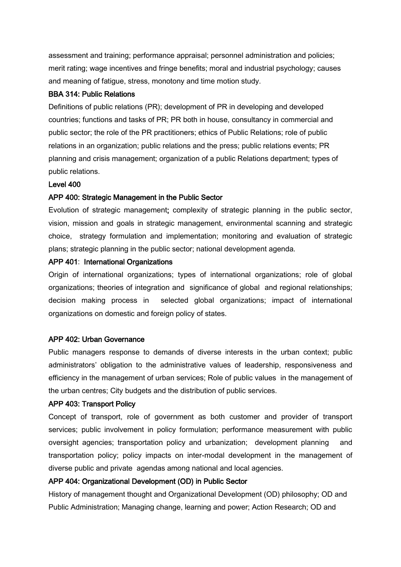assessment and training; performance appraisal; personnel administration and policies; merit rating; wage incentives and fringe benefits; moral and industrial psychology; causes and meaning of fatigue, stress, monotony and time motion study.

#### BBA 314: Public Relations

Definitions of public relations (PR); development of PR in developing and developed countries; functions and tasks of PR; PR both in house, consultancy in commercial and public sector; the role of the PR practitioners; ethics of Public Relations; role of public relations in an organization; public relations and the press; public relations events; PR planning and crisis management; organization of a public Relations department; types of public relations.

#### Level 400

#### APP 400: Strategic Management in the Public Sector

Evolution of strategic management; complexity of strategic planning in the public sector, vision, mission and goals in strategic management, environmental scanning and strategic choice, strategy formulation and implementation; monitoring and evaluation of strategic plans; strategic planning in the public sector; national development agenda.

# APP 401: International Organizations

Origin of international organizations; types of international organizations; role of global organizations; theories of integration and significance of global and regional relationships; decision making process in selected global organizations; impact of international organizations on domestic and foreign policy of states.

#### APP 402: Urban Governance

Public managers response to demands of diverse interests in the urban context; public administrators' obligation to the administrative values of leadership, responsiveness and efficiency in the management of urban services; Role of public values in the management of the urban centres; City budgets and the distribution of public services.

#### APP 403: Transport Policy

Concept of transport, role of government as both customer and provider of transport services; public involvement in policy formulation; performance measurement with public oversight agencies; transportation policy and urbanization; development planning and transportation policy; policy impacts on inter-modal development in the management of diverse public and private agendas among national and local agencies.

## APP 404: Organizational Development (OD) in Public Sector

History of management thought and Organizational Development (OD) philosophy; OD and Public Administration; Managing change, learning and power; Action Research; OD and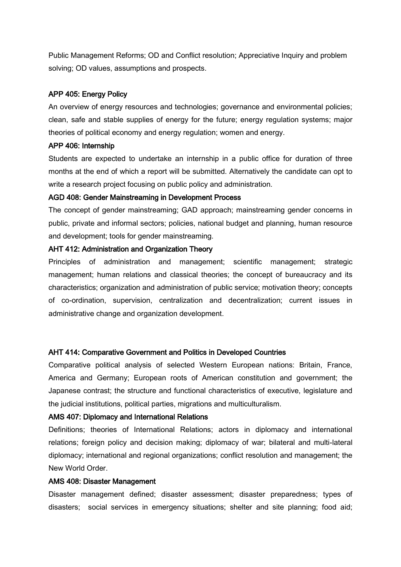Public Management Reforms; OD and Conflict resolution; Appreciative Inquiry and problem solving; OD values, assumptions and prospects.

# APP 405: Energy Policy

An overview of energy resources and technologies; governance and environmental policies; clean, safe and stable supplies of energy for the future; energy regulation systems; major theories of political economy and energy regulation; women and energy.

## APP 406: Internship

Students are expected to undertake an internship in a public office for duration of three months at the end of which a report will be submitted. Alternatively the candidate can opt to write a research project focusing on public policy and administration.

## AGD 408: Gender Mainstreaming in Development Process

The concept of gender mainstreaming; GAD approach; mainstreaming gender concerns in public, private and informal sectors; policies, national budget and planning, human resource and development; tools for gender mainstreaming.

## AHT 412: Administration and Organization Theory

Principles of administration and management; scientific management; strategic management; human relations and classical theories; the concept of bureaucracy and its characteristics; organization and administration of public service; motivation theory; concepts of co-ordination, supervision, centralization and decentralization; current issues in administrative change and organization development.

## AHT 414: Comparative Government and Politics in Developed Countries

Comparative political analysis of selected Western European nations: Britain, France, America and Germany; European roots of American constitution and government; the Japanese contrast; the structure and functional characteristics of executive, legislature and the judicial institutions, political parties, migrations and multiculturalism.

## AMS 407: Diplomacy and International Relations

Definitions; theories of International Relations; actors in diplomacy and international relations; foreign policy and decision making; diplomacy of war; bilateral and multi-lateral diplomacy; international and regional organizations; conflict resolution and management; the New World Order.

## AMS 408: Disaster Management

Disaster management defined; disaster assessment; disaster preparedness; types of disasters; social services in emergency situations; shelter and site planning; food aid;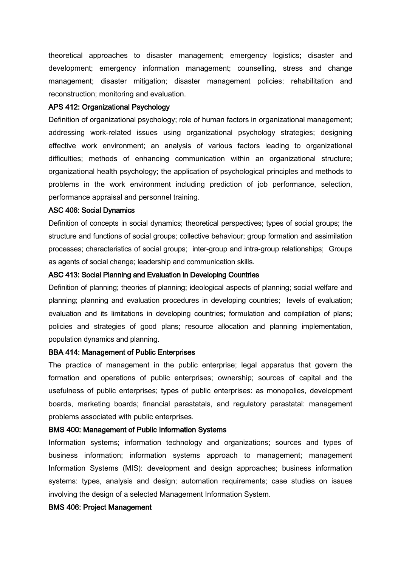theoretical approaches to disaster management; emergency logistics; disaster and development; emergency information management; counselling, stress and change management; disaster mitigation; disaster management policies; rehabilitation and reconstruction; monitoring and evaluation.

#### APS 412: Organizational Psychology

Definition of organizational psychology; role of human factors in organizational management; addressing work-related issues using organizational psychology strategies; designing effective work environment; an analysis of various factors leading to organizational difficulties; methods of enhancing communication within an organizational structure; organizational health psychology; the application of psychological principles and methods to problems in the work environment including prediction of job performance, selection, performance appraisal and personnel training.

#### ASC 406: Social Dynamics

Definition of concepts in social dynamics; theoretical perspectives; types of social groups; the structure and functions of social groups; collective behaviour; group formation and assimilation processes; characteristics of social groups; inter-group and intra-group relationships; Groups as agents of social change; leadership and communication skills.

#### ASC 413: Social Planning and Evaluation in Developing Countries

Definition of planning; theories of planning; ideological aspects of planning; social welfare and planning; planning and evaluation procedures in developing countries; levels of evaluation; evaluation and its limitations in developing countries; formulation and compilation of plans; policies and strategies of good plans; resource allocation and planning implementation, population dynamics and planning.

#### BBA 414: Management of Public Enterprises

The practice of management in the public enterprise; legal apparatus that govern the formation and operations of public enterprises; ownership; sources of capital and the usefulness of public enterprises; types of public enterprises: as monopolies, development boards, marketing boards; financial parastatals, and regulatory parastatal: management problems associated with public enterprises.

#### BMS 400: Management of Public Information Systems

Information systems; information technology and organizations; sources and types of business information; information systems approach to management; management Information Systems (MIS): development and design approaches; business information systems: types, analysis and design; automation requirements; case studies on issues involving the design of a selected Management Information System.

#### BMS 406: Project Management